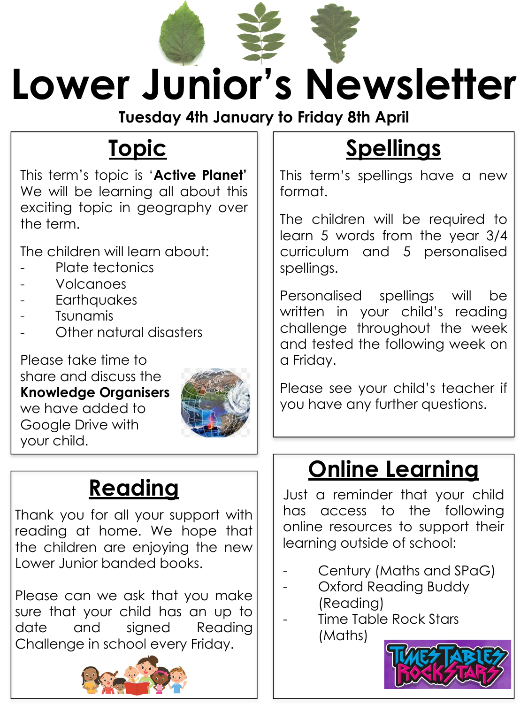

**Tuesday 4th January to Friday 8th April**

## **Topic**

This term's topic is '**Active Planet'** We will be learning all about this exciting topic in geography over the term.

The children will learn about:

- Plate tectonics
- Volcanoes
- **Earthquakes**
- Tsunamis
- Other natural disasters

Please take time to share and discuss the **Knowledge Organisers** we have added to Google Drive with your child.



### **Reading**

Thank you for all your support with reading at home. We hope that the children are enjoying the new Lower Junior banded books.

Please can we ask that you make sure that your child has an up to date and signed Reading Challenge in school every Friday.



# **Spellings**

This term's spellings have a new format.

The children will be required to learn 5 words from the year 3/4 curriculum and 5 personalised spellings.

Personalised spellings will be written in your child's reading challenge throughout the week and tested the following week on a Friday.

Please see your child's teacher if you have any further questions.

## **Online Learning**

Just a reminder that your child has access to the following online resources to support their learning outside of school:

- Century (Maths and SPaG)
- Oxford Reading Buddy (Reading)
- Time Table Rock Stars (Maths)